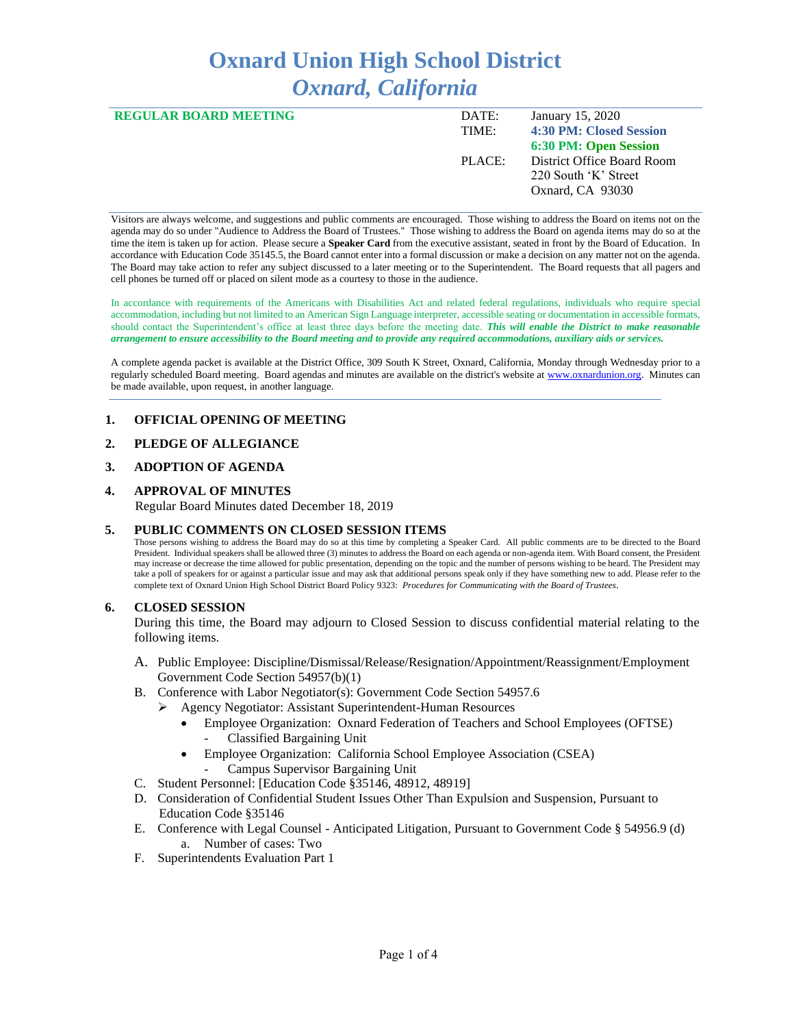# **Oxnard Union High School District** *Oxnard, California*

| <b>REGULAR BOARD MEETING</b> | DATE:  | January 15, 2020           |
|------------------------------|--------|----------------------------|
|                              | TIME:  | 4:30 PM: Closed Session    |
|                              |        | 6:30 PM: Open Session      |
|                              | PLACE: | District Office Board Room |
|                              |        | 220 South 'K' Street       |
|                              |        | Oxnard, CA 93030           |
|                              |        |                            |

Visitors are always welcome, and suggestions and public comments are encouraged. Those wishing to address the Board on items not on the agenda may do so under "Audience to Address the Board of Trustees." Those wishing to address the Board on agenda items may do so at the time the item is taken up for action. Please secure a **Speaker Card** from the executive assistant, seated in front by the Board of Education. In accordance with Education Code 35145.5, the Board cannot enter into a formal discussion or make a decision on any matter not on the agenda. The Board may take action to refer any subject discussed to a later meeting or to the Superintendent. The Board requests that all pagers and cell phones be turned off or placed on silent mode as a courtesy to those in the audience.

In accordance with requirements of the Americans with Disabilities Act and related federal regulations, individuals who require special accommodation, including but not limited to an American Sign Language interpreter, accessible seating or documentation in accessible formats, should contact the Superintendent's office at least three days before the meeting date. *This will enable the District to make reasonable arrangement to ensure accessibility to the Board meeting and to provide any required accommodations, auxiliary aids or services.* 

A complete agenda packet is available at the District Office, 309 South K Street, Oxnard, California, Monday through Wednesday prior to a regularly scheduled Board meeting. Board agendas and minutes are available on the district's website a[t www.ox](http://www.o/)nardunion.org.Minutes can be made available, upon request, in another language.

#### **1. OFFICIAL OPENING OF MEETING**

#### **2. PLEDGE OF ALLEGIANCE**

# **3. ADOPTION OF AGENDA**

# **4. APPROVAL OF MINUTES** Regular Board Minutes dated December 18, 2019

#### **5. PUBLIC COMMENTS ON CLOSED SESSION ITEMS**

Those persons wishing to address the Board may do so at this time by completing a Speaker Card. All public comments are to be directed to the Board President. Individual speakers shall be allowed three (3) minutes to address the Board on each agenda or non-agenda item. With Board consent, the President may increase or decrease the time allowed for public presentation, depending on the topic and the number of persons wishing to be heard. The President may take a poll of speakers for or against a particular issue and may ask that additional persons speak only if they have something new to add. Please refer to the complete text of Oxnard Union High School District Board Policy 9323: *Procedures for Communicating with the Board of Trustees*.

#### **6. CLOSED SESSION**

During this time, the Board may adjourn to Closed Session to discuss confidential material relating to the following items.

- A. Public Employee: Discipline/Dismissal/Release/Resignation/Appointment/Reassignment/Employment Government Code Section 54957(b)(1)
- B. Conference with Labor Negotiator(s): Government Code Section 54957.6
	- ➢ Agency Negotiator: Assistant Superintendent-Human Resources
		- Employee Organization: Oxnard Federation of Teachers and School Employees (OFTSE) - Classified Bargaining Unit
		- Employee Organization: California School Employee Association (CSEA) - Campus Supervisor Bargaining Unit
- C. Student Personnel: [Education Code §35146, 48912, 48919]
- D. Consideration of Confidential Student Issues Other Than Expulsion and Suspension, Pursuant to Education Code §35146
- E. Conference with Legal Counsel Anticipated Litigation, Pursuant to Government Code § 54956.9 (d) a. Number of cases: Two
- F. Superintendents Evaluation Part 1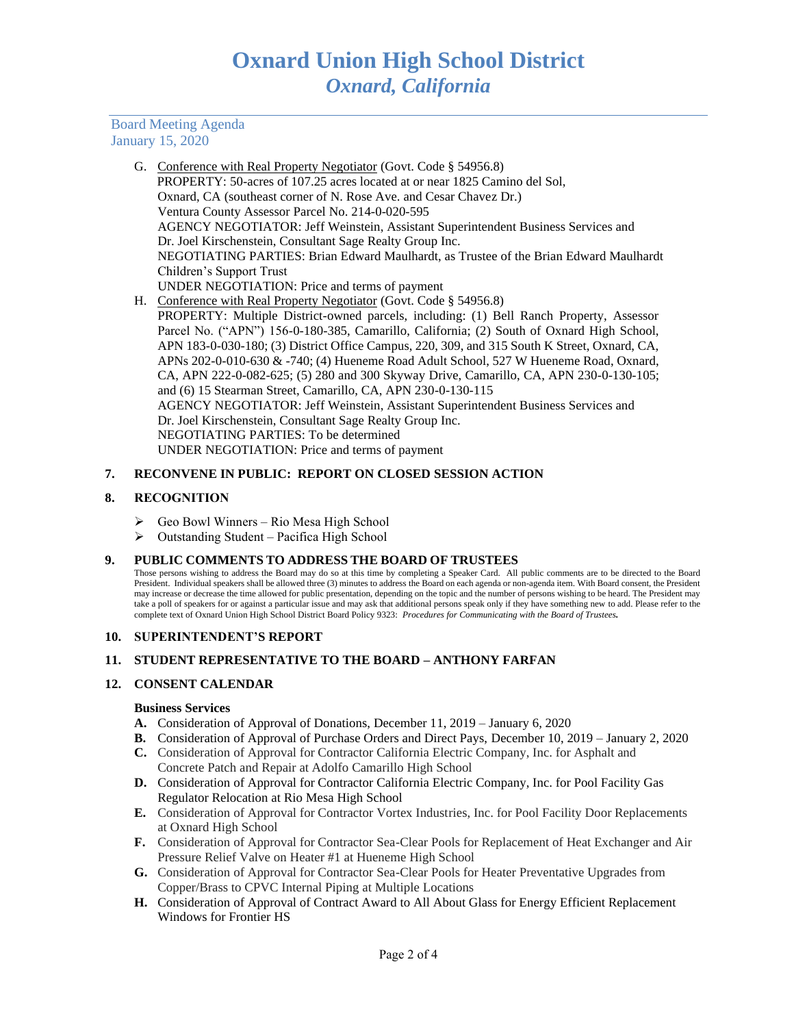Board Meeting Agenda January 15, 2020

- G. Conference with Real Property Negotiator (Govt. Code § 54956.8) PROPERTY: 50-acres of 107.25 acres located at or near 1825 Camino del Sol, Oxnard, CA (southeast corner of N. Rose Ave. and Cesar Chavez Dr.) Ventura County Assessor Parcel No. 214-0-020-595 AGENCY NEGOTIATOR: Jeff Weinstein, Assistant Superintendent Business Services and Dr. Joel Kirschenstein, Consultant Sage Realty Group Inc. NEGOTIATING PARTIES: Brian Edward Maulhardt, as Trustee of the Brian Edward Maulhardt Children's Support Trust UNDER NEGOTIATION: Price and terms of payment H. Conference with Real Property Negotiator (Govt. Code § 54956.8)
- PROPERTY: Multiple District-owned parcels, including: (1) Bell Ranch Property, Assessor Parcel No. ("APN") 156-0-180-385, Camarillo, California; (2) South of Oxnard High School, APN 183-0-030-180; (3) District Office Campus, 220, 309, and 315 South K Street, Oxnard, CA, APNs 202-0-010-630 & -740; (4) Hueneme Road Adult School, 527 W Hueneme Road, Oxnard, CA, APN 222-0-082-625; (5) 280 and 300 Skyway Drive, Camarillo, CA, APN 230-0-130-105; and (6) 15 Stearman Street, Camarillo, CA, APN 230-0-130-115 AGENCY NEGOTIATOR: Jeff Weinstein, Assistant Superintendent Business Services and Dr. Joel Kirschenstein, Consultant Sage Realty Group Inc. NEGOTIATING PARTIES: To be determined UNDER NEGOTIATION: Price and terms of payment

# **7. RECONVENE IN PUBLIC: REPORT ON CLOSED SESSION ACTION**

# **8. RECOGNITION**

- ➢ Geo Bowl Winners Rio Mesa High School
- ➢ Outstanding Student Pacifica High School

#### **9. PUBLIC COMMENTS TO ADDRESS THE BOARD OF TRUSTEES**

Those persons wishing to address the Board may do so at this time by completing a Speaker Card. All public comments are to be directed to the Board President. Individual speakers shall be allowed three (3) minutes to address the Board on each agenda or non-agenda item. With Board consent, the President may increase or decrease the time allowed for public presentation, depending on the topic and the number of persons wishing to be heard. The President may take a poll of speakers for or against a particular issue and may ask that additional persons speak only if they have something new to add. Please refer to the complete text of Oxnard Union High School District Board Policy 9323: *Procedures for Communicating with the Board of Trustees.*

#### **10. SUPERINTENDENT'S REPORT**

#### **11. STUDENT REPRESENTATIVE TO THE BOARD – ANTHONY FARFAN**

#### **12. CONSENT CALENDAR**

#### **Business Services**

- **A.** Consideration of Approval of Donations, December 11, 2019 January 6, 2020
- **B.** Consideration of Approval of Purchase Orders and Direct Pays, December 10, 2019 January 2, 2020
- **C.** Consideration of Approval for Contractor California Electric Company, Inc. for Asphalt and Concrete Patch and Repair at Adolfo Camarillo High School
- **D.** Consideration of Approval for Contractor California Electric Company, Inc. for Pool Facility Gas Regulator Relocation at Rio Mesa High School
- **E.** Consideration of Approval for Contractor Vortex Industries, Inc. for Pool Facility Door Replacements at Oxnard High School
- **F.** Consideration of Approval for Contractor Sea-Clear Pools for Replacement of Heat Exchanger and Air Pressure Relief Valve on Heater #1 at Hueneme High School
- **G.** Consideration of Approval for Contractor Sea-Clear Pools for Heater Preventative Upgrades from Copper/Brass to CPVC Internal Piping at Multiple Locations
- **H.** Consideration of Approval of Contract Award to All About Glass for Energy Efficient Replacement Windows for Frontier HS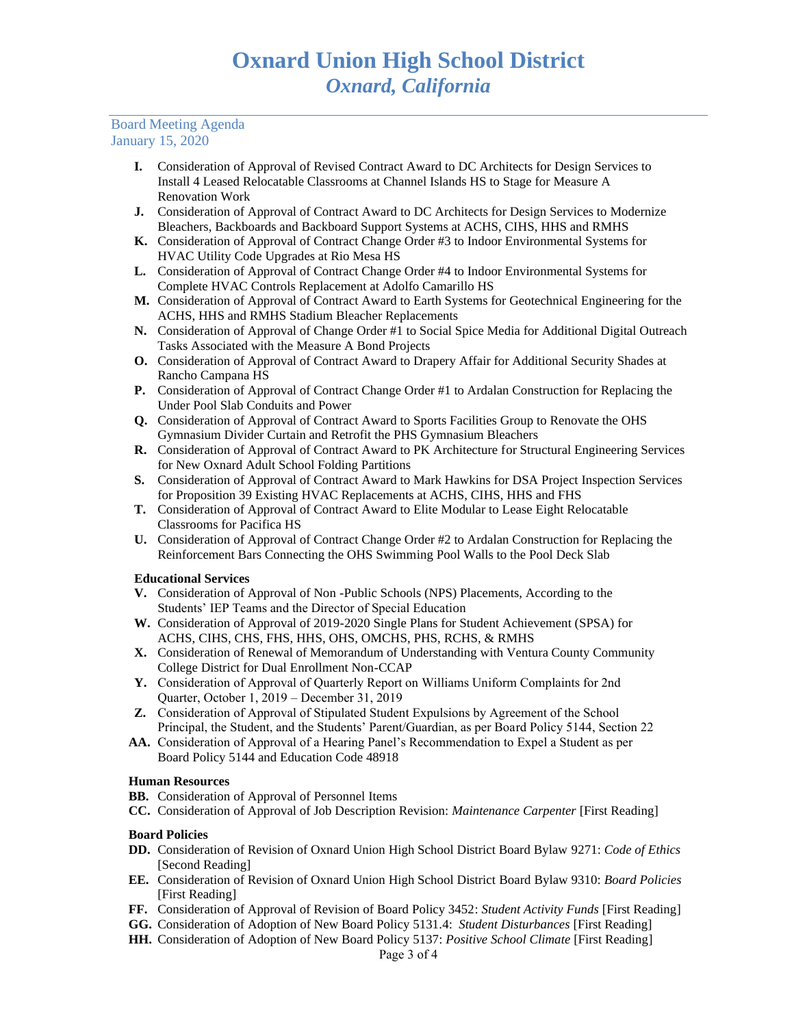#### Board Meeting Agenda January 15, 2020

- **I.** Consideration of Approval of Revised Contract Award to DC Architects for Design Services to Install 4 Leased Relocatable Classrooms at Channel Islands HS to Stage for Measure A Renovation Work
- **J.** Consideration of Approval of Contract Award to DC Architects for Design Services to Modernize Bleachers, Backboards and Backboard Support Systems at ACHS, CIHS, HHS and RMHS
- **K.** Consideration of Approval of Contract Change Order #3 to Indoor Environmental Systems for HVAC Utility Code Upgrades at Rio Mesa HS
- **L.** Consideration of Approval of Contract Change Order #4 to Indoor Environmental Systems for Complete HVAC Controls Replacement at Adolfo Camarillo HS
- **M.** Consideration of Approval of Contract Award to Earth Systems for Geotechnical Engineering for the ACHS, HHS and RMHS Stadium Bleacher Replacements
- **N.** Consideration of Approval of Change Order #1 to Social Spice Media for Additional Digital Outreach Tasks Associated with the Measure A Bond Projects
- **O.** Consideration of Approval of Contract Award to Drapery Affair for Additional Security Shades at Rancho Campana HS
- **P.** Consideration of Approval of Contract Change Order #1 to Ardalan Construction for Replacing the Under Pool Slab Conduits and Power
- **Q.** Consideration of Approval of Contract Award to Sports Facilities Group to Renovate the OHS Gymnasium Divider Curtain and Retrofit the PHS Gymnasium Bleachers
- **R.** Consideration of Approval of Contract Award to PK Architecture for Structural Engineering Services for New Oxnard Adult School Folding Partitions
- **S.** Consideration of Approval of Contract Award to Mark Hawkins for DSA Project Inspection Services for Proposition 39 Existing HVAC Replacements at ACHS, CIHS, HHS and FHS
- **T.** Consideration of Approval of Contract Award to Elite Modular to Lease Eight Relocatable Classrooms for Pacifica HS
- **U.** Consideration of Approval of Contract Change Order #2 to Ardalan Construction for Replacing the Reinforcement Bars Connecting the OHS Swimming Pool Walls to the Pool Deck Slab

# **Educational Services**

- **V.** Consideration of Approval of Non -Public Schools (NPS) Placements, According to the Students' IEP Teams and the Director of Special Education
- **W.** Consideration of Approval of 2019-2020 Single Plans for Student Achievement (SPSA) for ACHS, CIHS, CHS, FHS, HHS, OHS, OMCHS, PHS, RCHS, & RMHS
- **X.** Consideration of Renewal of Memorandum of Understanding with Ventura County Community College District for Dual Enrollment Non-CCAP
- **Y.** Consideration of Approval of Quarterly Report on Williams Uniform Complaints for 2nd Quarter, October 1, 2019 – December 31, 2019
- **Z.** Consideration of Approval of Stipulated Student Expulsions by Agreement of the School Principal, the Student, and the Students' Parent/Guardian, as per Board Policy 5144, Section 22
- **AA.** Consideration of Approval of a Hearing Panel's Recommendation to Expel a Student as per Board Policy 5144 and Education Code 48918

# **Human Resources**

- **BB.** Consideration of Approval of Personnel Items
- **CC.** Consideration of Approval of Job Description Revision: *Maintenance Carpenter* [First Reading]

#### **Board Policies**

- **DD.** Consideration of Revision of Oxnard Union High School District Board Bylaw 9271: *Code of Ethics* [Second Reading]
- **EE.** Consideration of Revision of Oxnard Union High School District Board Bylaw 9310: *Board Policies* [First Reading]
- **FF.** Consideration of Approval of Revision of Board Policy 3452: *Student Activity Funds* [First Reading]
- **GG.** Consideration of Adoption of New Board Policy 5131.4: *Student Disturbances* [First Reading]
- **HH.** Consideration of Adoption of New Board Policy 5137: *Positive School Climate* [First Reading]